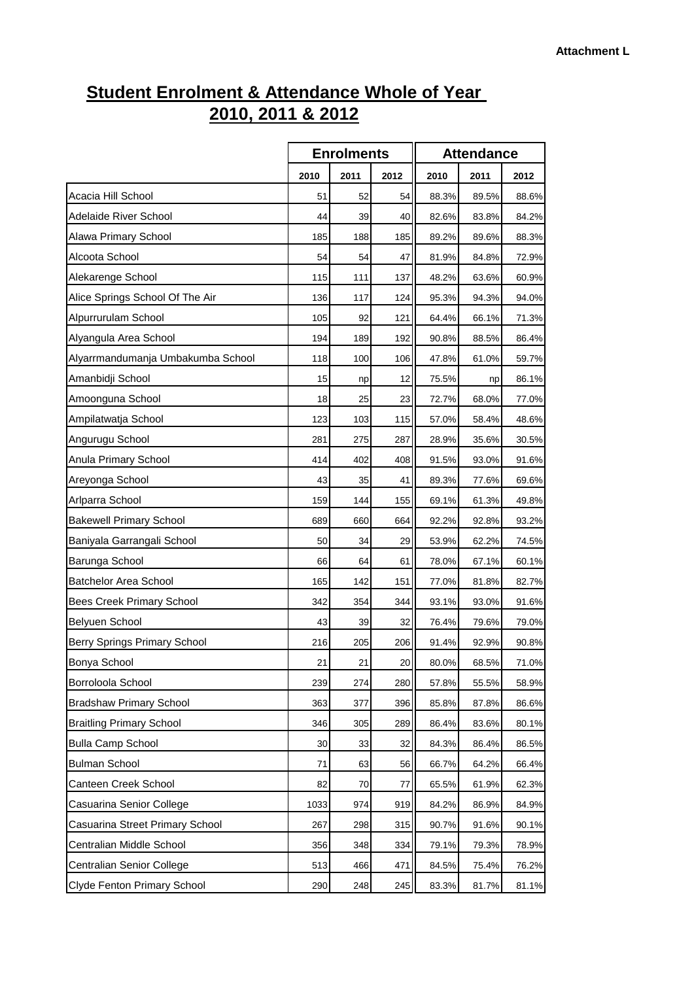## **Student Enrolment & Attendance Whole of Year 2010, 2011 & 2012**

|                                   | <b>Enrolments</b> |      |                 | <b>Attendance</b> |       |       |  |
|-----------------------------------|-------------------|------|-----------------|-------------------|-------|-------|--|
|                                   | 2010              | 2011 | 2012            | 2010              | 2011  | 2012  |  |
| Acacia Hill School                | 51                | 52   | 54              | 88.3%             | 89.5% | 88.6% |  |
| Adelaide River School             | 44                | 39   | 40              | 82.6%             | 83.8% | 84.2% |  |
| Alawa Primary School              | 185               | 188  | 185             | 89.2%             | 89.6% | 88.3% |  |
| Alcoota School                    | 54                | 54   | 47              | 81.9%             | 84.8% | 72.9% |  |
| Alekarenge School                 | 115               | 111  | 137             | 48.2%             | 63.6% | 60.9% |  |
| Alice Springs School Of The Air   | 136               | 117  | 124             | 95.3%             | 94.3% | 94.0% |  |
| Alpurrurulam School               | 105               | 92   | 121             | 64.4%             | 66.1% | 71.3% |  |
| Alyangula Area School             | 194               | 189  | 192             | 90.8%             | 88.5% | 86.4% |  |
| Alyarrmandumanja Umbakumba School | 118               | 100  | 106             | 47.8%             | 61.0% | 59.7% |  |
| Amanbidji School                  | 15                | np   | 12              | 75.5%             | np    | 86.1% |  |
| Amoonguna School                  | 18                | 25   | 23              | 72.7%             | 68.0% | 77.0% |  |
| Ampilatwatja School               | 123               | 103  | 115             | 57.0%             | 58.4% | 48.6% |  |
| Angurugu School                   | 281               | 275  | 287             | 28.9%             | 35.6% | 30.5% |  |
| Anula Primary School              | 414               | 402  | 408             | 91.5%             | 93.0% | 91.6% |  |
| Areyonga School                   | 43                | 35   | 41              | 89.3%             | 77.6% | 69.6% |  |
| Arlparra School                   | 159               | 144  | 155             | 69.1%             | 61.3% | 49.8% |  |
| <b>Bakewell Primary School</b>    | 689               | 660  | 664             | 92.2%             | 92.8% | 93.2% |  |
| Baniyala Garrangali School        | 50                | 34   | 29              | 53.9%             | 62.2% | 74.5% |  |
| Barunga School                    | 66                | 64   | 61              | 78.0%             | 67.1% | 60.1% |  |
| <b>Batchelor Area School</b>      | 165               | 142  | 151             | 77.0%             | 81.8% | 82.7% |  |
| Bees Creek Primary School         | 342               | 354  | 344             | 93.1%             | 93.0% | 91.6% |  |
| Belyuen School                    | 43                | 39   | 32              | 76.4%             | 79.6% | 79.0% |  |
| Berry Springs Primary School      | 216               | 205  | 206             | 91.4%             | 92.9% | 90.8% |  |
| Bonya School                      | 21                | 21   | 20 <sup>1</sup> | 80.0%             | 68.5% | 71.0% |  |
| Borroloola School                 | 239               | 274  | 280             | 57.8%             | 55.5% | 58.9% |  |
| <b>Bradshaw Primary School</b>    | 363               | 377  | 396             | 85.8%             | 87.8% | 86.6% |  |
| <b>Braitling Primary School</b>   | 346               | 305  | 289             | 86.4%             | 83.6% | 80.1% |  |
| <b>Bulla Camp School</b>          | 30                | 33   | 32              | 84.3%             | 86.4% | 86.5% |  |
| <b>Bulman School</b>              | 71                | 63   | 56              | 66.7%             | 64.2% | 66.4% |  |
| Canteen Creek School              | 82                | 70   | 77              | 65.5%             | 61.9% | 62.3% |  |
| Casuarina Senior College          | 1033              | 974  | 919             | 84.2%             | 86.9% | 84.9% |  |
| Casuarina Street Primary School   | 267               | 298  | 315             | 90.7%             | 91.6% | 90.1% |  |
| Centralian Middle School          | 356               | 348  | 334             | 79.1%             | 79.3% | 78.9% |  |
| Centralian Senior College         | 513               | 466  | 471             | 84.5%             | 75.4% | 76.2% |  |
| Clyde Fenton Primary School       | 290               | 248  | 245             | 83.3%             | 81.7% | 81.1% |  |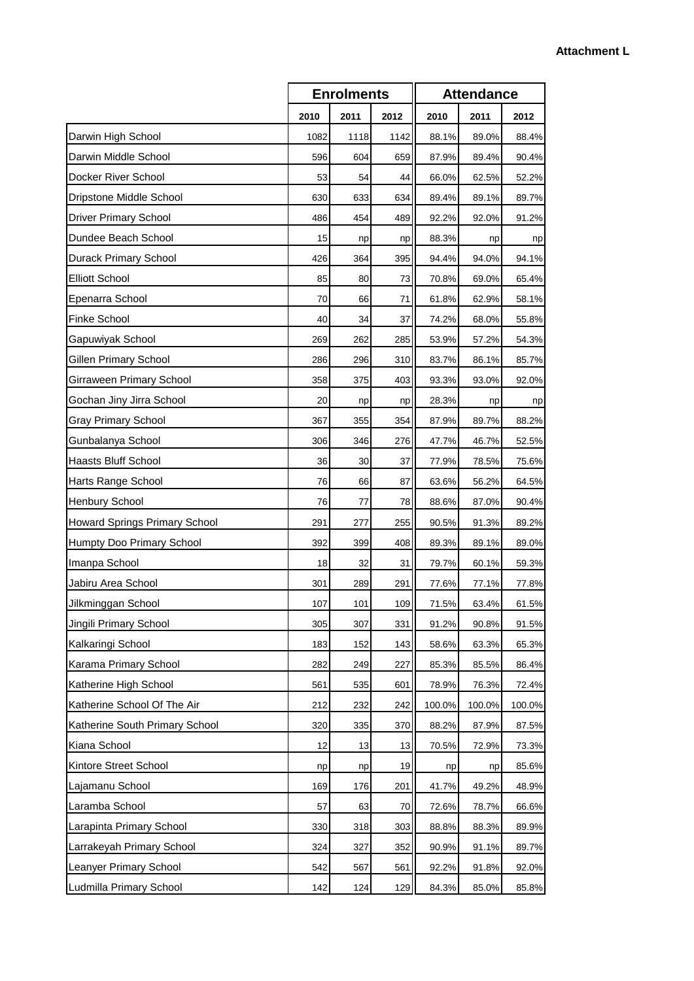|                                |      | <b>Enrolments</b> |      |        | <b>Attendance</b> |        |  |  |
|--------------------------------|------|-------------------|------|--------|-------------------|--------|--|--|
|                                | 2010 | 2011              | 2012 | 2010   | 2011              | 2012   |  |  |
| Darwin High School             | 1082 | 1118              | 1142 | 88.1%  | 89.0%             | 88.4%  |  |  |
| Darwin Middle School           | 596  | 604               | 659  | 87.9%  | 89.4%             | 90.4%  |  |  |
| Docker River School            | 53   | 54                | 44   | 66.0%  | 62.5%             | 52.2%  |  |  |
| Dripstone Middle School        | 630  | 633               | 634  | 89.4%  | 89.1%             | 89.7%  |  |  |
| Driver Primary School          | 486  | 454               | 489  | 92.2%  | 92.0%             | 91.2%  |  |  |
| Dundee Beach School            | 15   | np                | np   | 88.3%  | np                | np     |  |  |
| Durack Primary School          | 426  | 364               | 395  | 94.4%  | 94.0%             | 94.1%  |  |  |
| <b>Elliott School</b>          | 85   | 80                | 73   | 70.8%  | 69.0%             | 65.4%  |  |  |
| Epenarra School                | 70   | 66                | 71   | 61.8%  | 62.9%             | 58.1%  |  |  |
| Finke School                   | 40   | 34                | 37   | 74.2%  | 68.0%             | 55.8%  |  |  |
| Gapuwiyak School               | 269  | 262               | 285  | 53.9%  | 57.2%             | 54.3%  |  |  |
| Gillen Primary School          | 286  | 296               | 310  | 83.7%  | 86.1%             | 85.7%  |  |  |
| Girraween Primary School       | 358  | 375               | 403  | 93.3%  | 93.0%             | 92.0%  |  |  |
| Gochan Jiny Jirra School       | 20   | np                | np   | 28.3%  | np                | np     |  |  |
| <b>Gray Primary School</b>     | 367  | 355               | 354  | 87.9%  | 89.7%             | 88.2%  |  |  |
| Gunbalanya School              | 306  | 346               | 276  | 47.7%  | 46.7%             | 52.5%  |  |  |
| Haasts Bluff School            | 36   | 30                | 37   | 77.9%  | 78.5%             | 75.6%  |  |  |
| Harts Range School             | 76   | 66                | 87   | 63.6%  | 56.2%             | 64.5%  |  |  |
| Henbury School                 | 76   | 77                | 78   | 88.6%  | 87.0%             | 90.4%  |  |  |
| Howard Springs Primary School  | 291  | 277               | 255  | 90.5%  | 91.3%             | 89.2%  |  |  |
| Humpty Doo Primary School      | 392  | 399               | 408  | 89.3%  | 89.1%             | 89.0%  |  |  |
| Imanpa School                  | 18   | 32                | 31   | 79.7%  | 60.1%             | 59.3%  |  |  |
| Jabiru Area School             | 301  | 289               | 291  | 77.6%  | 77.1%             | 77.8%  |  |  |
| Jilkminggan School             | 107  | 101               | 109  | 71.5%  | 63.4%             | 61.5%  |  |  |
| Jingili Primary School         | 305  | 307               | 331  | 91.2%  | 90.8%             | 91.5%  |  |  |
| Kalkaringi School              | 183  | 152               | 143  | 58.6%  | 63.3%             | 65.3%  |  |  |
| Karama Primary School          | 282  | 249               | 227  | 85.3%  | 85.5%             | 86.4%  |  |  |
| Katherine High School          | 561  | 535               | 601  | 78.9%  | 76.3%             | 72.4%  |  |  |
| Katherine School Of The Air    | 212  | 232               | 242  | 100.0% | 100.0%            | 100.0% |  |  |
| Katherine South Primary School | 320  | 335               | 370  | 88.2%  | 87.9%             | 87.5%  |  |  |
| Kiana School                   | 12   | 13                | 13   | 70.5%  | 72.9%             | 73.3%  |  |  |
| Kintore Street School          | np   | np                | 19   | np     | np                | 85.6%  |  |  |
| Lajamanu School                | 169  | 176               | 201  | 41.7%  | 49.2%             | 48.9%  |  |  |
| Laramba School                 | 57   | 63                | 70   | 72.6%  | 78.7%             | 66.6%  |  |  |
| Larapinta Primary School       | 330  | 318               | 303  | 88.8%  | 88.3%             | 89.9%  |  |  |
| Larrakeyah Primary School      | 324  | 327               | 352  | 90.9%  | 91.1%             | 89.7%  |  |  |
| Leanyer Primary School         | 542  | 567               | 561  | 92.2%  | 91.8%             | 92.0%  |  |  |
| Ludmilla Primary School        | 142  | 124               | 129  | 84.3%  | 85.0%             | 85.8%  |  |  |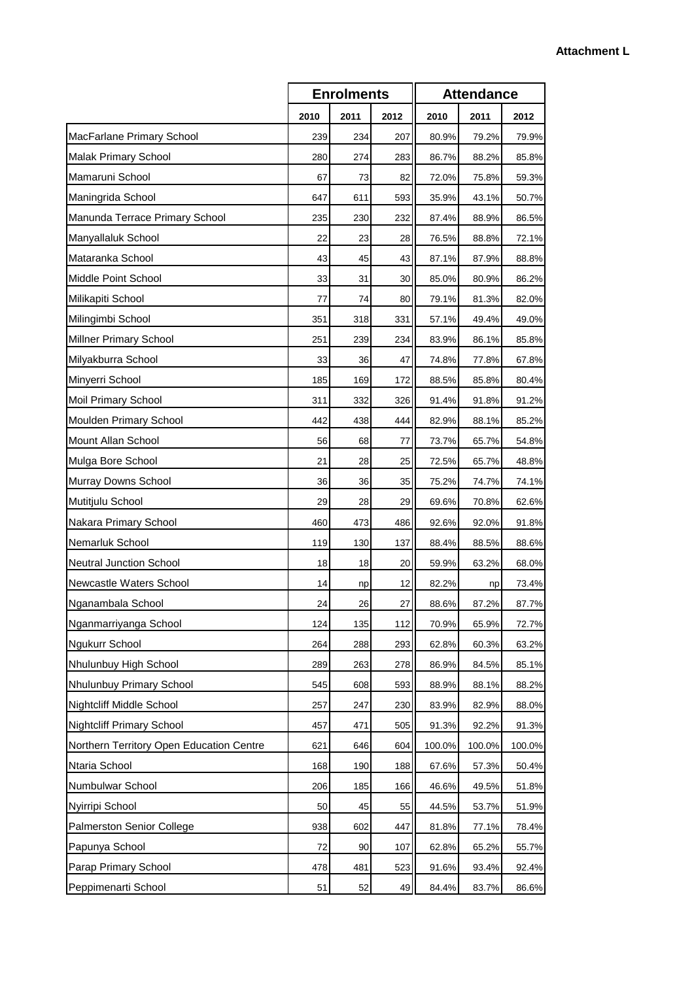|                                          |      | <b>Enrolments</b> |      | <b>Attendance</b> |        |        |
|------------------------------------------|------|-------------------|------|-------------------|--------|--------|
|                                          | 2010 | 2011              | 2012 | 2010              | 2011   | 2012   |
| MacFarlane Primary School                | 239  | 234               | 207  | 80.9%             | 79.2%  | 79.9%  |
| <b>Malak Primary School</b>              | 280  | 274               | 283  | 86.7%             | 88.2%  | 85.8%  |
| Mamaruni School                          | 67   | 73                | 82   | 72.0%             | 75.8%  | 59.3%  |
| Maningrida School                        | 647  | 611               | 593  | 35.9%             | 43.1%  | 50.7%  |
| Manunda Terrace Primary School           | 235  | 230               | 232  | 87.4%             | 88.9%  | 86.5%  |
| Manyallaluk School                       | 22   | 23                | 28   | 76.5%             | 88.8%  | 72.1%  |
| Mataranka School                         | 43   | 45                | 43   | 87.1%             | 87.9%  | 88.8%  |
| Middle Point School                      | 33   | 31                | 30   | 85.0%             | 80.9%  | 86.2%  |
| Milikapiti School                        | 77   | 74                | 80   | 79.1%             | 81.3%  | 82.0%  |
| Milingimbi School                        | 351  | 318               | 331  | 57.1%             | 49.4%  | 49.0%  |
| Millner Primary School                   | 251  | 239               | 234  | 83.9%             | 86.1%  | 85.8%  |
| Milyakburra School                       | 33   | 36                | 47   | 74.8%             | 77.8%  | 67.8%  |
| Minyerri School                          | 185  | 169               | 172  | 88.5%             | 85.8%  | 80.4%  |
| Moil Primary School                      | 311  | 332               | 326  | 91.4%             | 91.8%  | 91.2%  |
| Moulden Primary School                   | 442  | 438               | 444  | 82.9%             | 88.1%  | 85.2%  |
| Mount Allan School                       | 56   | 68                | 77   | 73.7%             | 65.7%  | 54.8%  |
| Mulga Bore School                        | 21   | 28                | 25   | 72.5%             | 65.7%  | 48.8%  |
| Murray Downs School                      | 36   | 36                | 35   | 75.2%             | 74.7%  | 74.1%  |
| Mutitjulu School                         | 29   | 28                | 29   | 69.6%             | 70.8%  | 62.6%  |
| Nakara Primary School                    | 460  | 473               | 486  | 92.6%             | 92.0%  | 91.8%  |
| Nemarluk School                          | 119  | 130               | 137  | 88.4%             | 88.5%  | 88.6%  |
| Neutral Junction School                  | 18   | 18                | 20   | 59.9%             | 63.2%  | 68.0%  |
| Newcastle Waters School                  | 14   | np                | 12   | 82.2%             | np     | 73.4%  |
| Nganambala School                        | 24   | <b>26</b>         | 27   | 88.6%             | 87.2%  | 87.7%  |
| Nganmarriyanga School                    | 124  | 135               | 112  | 70.9%             | 65.9%  | 72.7%  |
| Ngukurr School                           | 264  | 288               | 293  | 62.8%             | 60.3%  | 63.2%  |
| Nhulunbuy High School                    | 289  | 263               | 278  | 86.9%             | 84.5%  | 85.1%  |
| Nhulunbuy Primary School                 | 545  | 608               | 593  | 88.9%             | 88.1%  | 88.2%  |
| Nightcliff Middle School                 | 257  | 247               | 230  | 83.9%             | 82.9%  | 88.0%  |
| Nightcliff Primary School                | 457  | 471               | 505  | 91.3%             | 92.2%  | 91.3%  |
| Northern Territory Open Education Centre | 621  | 646               | 604  | 100.0%            | 100.0% | 100.0% |
| Ntaria School                            | 168  | 190               | 188  | 67.6%             | 57.3%  | 50.4%  |
| Numbulwar School                         | 206  | 185               | 166  | 46.6%             | 49.5%  | 51.8%  |
| Nyirripi School                          | 50   | 45                | 55   | 44.5%             | 53.7%  | 51.9%  |
| Palmerston Senior College                | 938  | 602               | 447  | 81.8%             | 77.1%  | 78.4%  |
| Papunya School                           | 72   | 90                | 107  | 62.8%             | 65.2%  | 55.7%  |
| Parap Primary School                     | 478  | 481               | 523  | 91.6%             | 93.4%  | 92.4%  |
| Peppimenarti School                      | 51   | 52                | 49   | 84.4%             | 83.7%  | 86.6%  |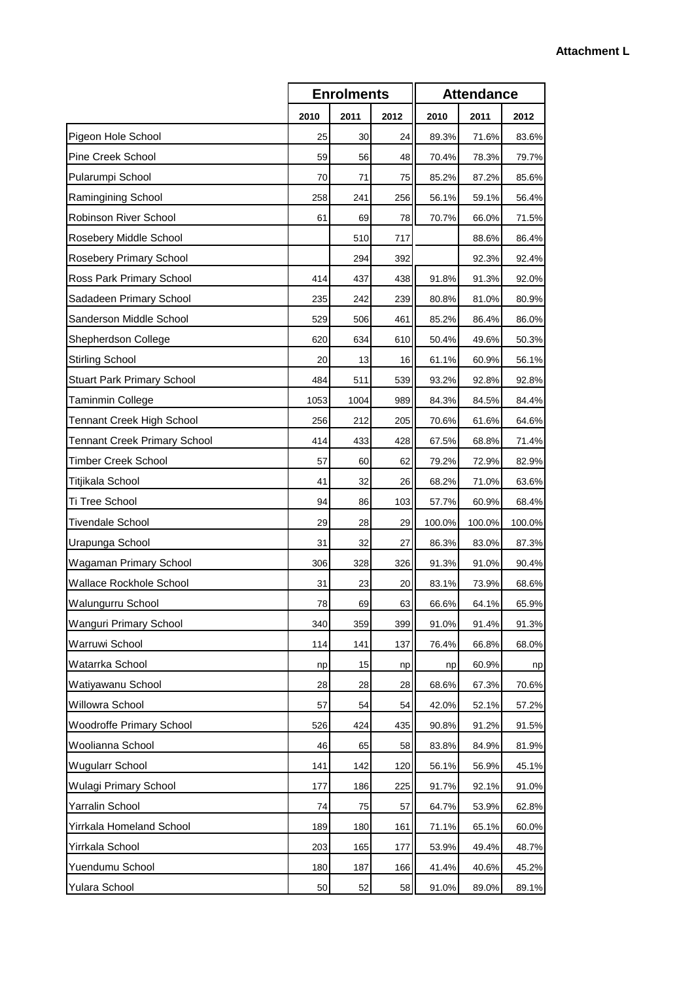|                                     |      | <b>Enrolments</b> |      | <b>Attendance</b> |        |        |
|-------------------------------------|------|-------------------|------|-------------------|--------|--------|
|                                     | 2010 | 2011              | 2012 | 2010              | 2011   | 2012   |
| Pigeon Hole School                  | 25   | 30                | 24   | 89.3%             | 71.6%  | 83.6%  |
| <b>Pine Creek School</b>            | 59   | 56                | 48   | 70.4%             | 78.3%  | 79.7%  |
| Pularumpi School                    | 70   | 71                | 75   | 85.2%             | 87.2%  | 85.6%  |
| Ramingining School                  | 258  | 241               | 256  | 56.1%             | 59.1%  | 56.4%  |
| <b>Robinson River School</b>        | 61   | 69                | 78   | 70.7%             | 66.0%  | 71.5%  |
| Rosebery Middle School              |      | 510               | 717  |                   | 88.6%  | 86.4%  |
| Rosebery Primary School             |      | 294               | 392  |                   | 92.3%  | 92.4%  |
| Ross Park Primary School            | 414  | 437               | 438  | 91.8%             | 91.3%  | 92.0%  |
| Sadadeen Primary School             | 235  | 242               | 239  | 80.8%             | 81.0%  | 80.9%  |
| Sanderson Middle School             | 529  | 506               | 461  | 85.2%             | 86.4%  | 86.0%  |
| Shepherdson College                 | 620  | 634               | 610  | 50.4%             | 49.6%  | 50.3%  |
| <b>Stirling School</b>              | 20   | 13                | 16   | 61.1%             | 60.9%  | 56.1%  |
| <b>Stuart Park Primary School</b>   | 484  | 511               | 539  | 93.2%             | 92.8%  | 92.8%  |
| <b>Taminmin College</b>             | 1053 | 1004              | 989  | 84.3%             | 84.5%  | 84.4%  |
| <b>Tennant Creek High School</b>    | 256  | 212               | 205  | 70.6%             | 61.6%  | 64.6%  |
| <b>Tennant Creek Primary School</b> | 414  | 433               | 428  | 67.5%             | 68.8%  | 71.4%  |
| <b>Timber Creek School</b>          | 57   | 60                | 62   | 79.2%             | 72.9%  | 82.9%  |
| Titjikala School                    | 41   | 32                | 26   | 68.2%             | 71.0%  | 63.6%  |
| Ti Tree School                      | 94   | 86                | 103  | 57.7%             | 60.9%  | 68.4%  |
| <b>Tivendale School</b>             | 29   | 28                | 29   | 100.0%            | 100.0% | 100.0% |
| Urapunga School                     | 31   | 32                | 27   | 86.3%             | 83.0%  | 87.3%  |
| Wagaman Primary School              | 306  | 328               | 326  | 91.3%             | 91.0%  | 90.4%  |
| Wallace Rockhole School             | 31   | 23                | 20   | 83.1%             | 73.9%  | 68.6%  |
| Walungurru School                   | 78   | 69                | 63   | 66.6%             | 64.1%  | 65.9%  |
| Wanguri Primary School              | 340  | 359               | 399  | 91.0%             | 91.4%  | 91.3%  |
| Warruwi School                      | 114  | 141               | 137  | 76.4%             | 66.8%  | 68.0%  |
| Watarrka School                     | np   | 15                | np   | np                | 60.9%  | np     |
| Watiyawanu School                   | 28   | 28                | 28   | 68.6%             | 67.3%  | 70.6%  |
| Willowra School                     | 57   | 54                | 54   | 42.0%             | 52.1%  | 57.2%  |
| <b>Woodroffe Primary School</b>     | 526  | 424               | 435  | 90.8%             | 91.2%  | 91.5%  |
| Woolianna School                    | 46   | 65                | 58   | 83.8%             | 84.9%  | 81.9%  |
| <b>Wugularr School</b>              | 141  | 142               | 120  | 56.1%             | 56.9%  | 45.1%  |
| Wulagi Primary School               | 177  | 186               | 225  | 91.7%             | 92.1%  | 91.0%  |
| Yarralin School                     | 74   | 75                | 57   | 64.7%             | 53.9%  | 62.8%  |
| Yirrkala Homeland School            | 189  | 180               | 161  | 71.1%             | 65.1%  | 60.0%  |
| Yirrkala School                     | 203  | 165               | 177  | 53.9%             | 49.4%  | 48.7%  |
| Yuendumu School                     | 180  | 187               | 166  | 41.4%             | 40.6%  | 45.2%  |
| Yulara School                       | 50   | 52                | 58   | 91.0%             | 89.0%  | 89.1%  |